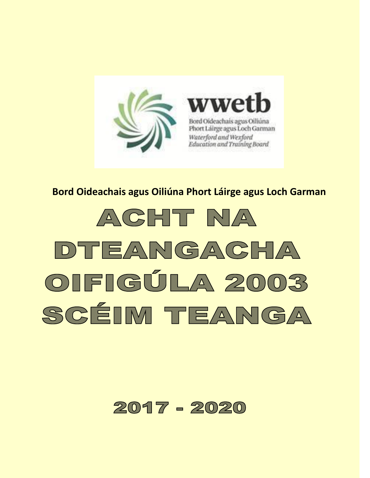

# **Bord Oideachais agus Oiliúna Phort Láirge agus Loch Garman**



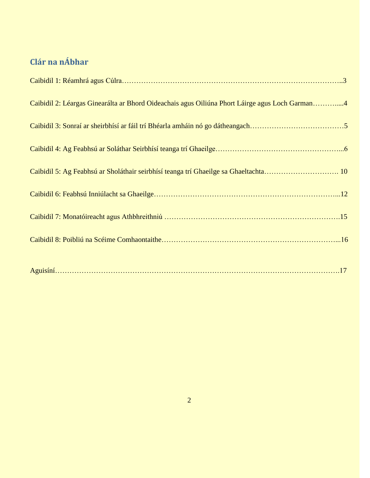# **Clár na nÁbhar**

| Caibidil 2: Léargas Ginearálta ar Bhord Oideachais agus Oiliúna Phort Láirge agus Loch Garman4 |
|------------------------------------------------------------------------------------------------|
|                                                                                                |
|                                                                                                |
|                                                                                                |
|                                                                                                |
|                                                                                                |
|                                                                                                |
|                                                                                                |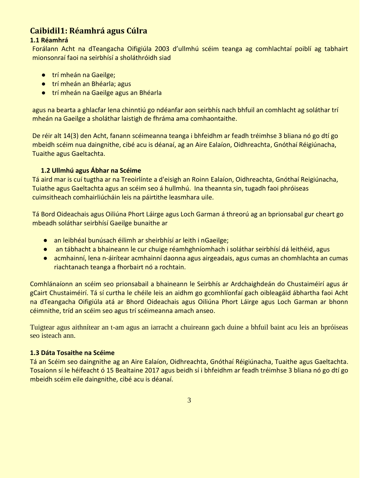## **Caibidil1: Réamhrá agus Cúlra**

## **1.1 Réamhrá**

Forálann Acht na dTeangacha Oifigiúla 2003 d'ullmhú scéim teanga ag comhlachtaí poiblí ag tabhairt mionsonraí faoi na seirbhísí a sholáthróidh siad

- trí mheán na Gaeilge;
- trí mheán an Bhéarla; agus
- trí mheán na Gaeilge agus an Bhéarla

agus na bearta a ghlacfar lena chinntiú go ndéanfar aon seirbhís nach bhfuil an comhlacht ag soláthar trí mheán na Gaeilge a sholáthar laistigh de fhráma ama comhaontaithe.

De réir alt 14(3) den Acht, fanann scéimeanna teanga i bhfeidhm ar feadh tréimhse 3 bliana nó go dtí go mbeidh scéim nua daingnithe, cibé acu is déanaí, ag an Aire Ealaíon, Oidhreachta, Gnóthaí Réigiúnacha, Tuaithe agus Gaeltachta.

### **1.2 Ullmhú agus Ábhar na Scéime**

Tá aird mar is cuí tugtha ar na Treoirlínte a d'eisigh an Roinn Ealaíon, Oidhreachta, Gnóthaí Reigiúnacha, Tuiathe agus Gaeltachta agus an scéim seo á hullmhú. Ina theannta sin, tugadh faoi phróiseas cuimsitheach comhairliúcháin leis na páirtithe leasmhara uile.

Tá Bord Oideachais agus Oiliúna Phort Láirge agus Loch Garman á threorú ag an bprionsabal gur cheart go mbeadh soláthar seirbhísí Gaeilge bunaithe ar

- an leibhéal bunúsach éilimh ar sheirbhísí ar leith i nGaeilge;
- an tábhacht a bhaineann le cur chuige réamhghníomhach i soláthar seirbhísí dá leithéid, agus
- acmhainní, lena n-áirítear acmhainní daonna agus airgeadais, agus cumas an chomhlachta an cumas riachtanach teanga a fhorbairt nó a rochtain.

Comhlánaíonn an scéim seo prionsabail a bhaineann le Seirbhís ar Ardchaighdeán do Chustaiméirí agus ár gCairt Chustaiméirí. Tá sí curtha le chéile leis an aidhm go gcomhlíonfaí gach oibleagáid ábhartha faoi Acht na dTeangacha Oifigiúla atá ar Bhord Oideachais agus Oiliúna Phort Láirge agus Loch Garman ar bhonn céimnithe, tríd an scéim seo agus trí scéimeanna amach anseo.

Tuigtear agus aithnítear an t-am agus an iarracht a chuireann gach duine a bhfuil baint acu leis an bpróiseas seo isteach ann.

### **1.3 Dáta Tosaithe na Scéime**

<span id="page-2-0"></span>Tá an Scéim seo daingnithe ag an Aire Ealaíon, Oidhreachta, Gnóthaí Réigiúnacha, Tuaithe agus Gaeltachta. Tosaíonn sí le héifeacht ó 15 Bealtaine 2017 agus beidh sí i bhfeidhm ar feadh tréimhse 3 bliana nó go dtí go mbeidh scéim eile daingnithe, cibé acu is déanaí.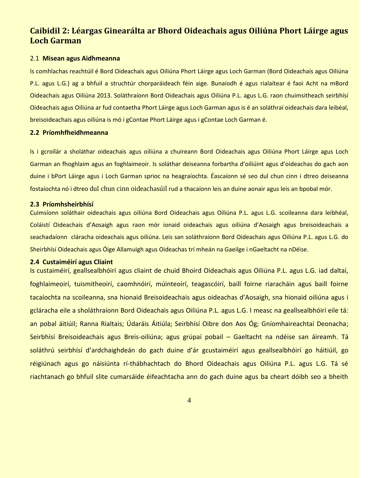## **Caibidil 2: Léargas Ginearálta ar Bhord Oideachais agus Oiliúna Phort Láirge agus Loch Garman**

#### 2.1 **Misean agus Aidhmeanna**

Is comhlachas reachtúil é Bord Oideachais agus Oiliúna Phort Láirge agus Loch Garman (Bord Oideachais agus Oiliúna P.L. agus L.G.) ag a bhfuil a struchtúr chorparáideach féin aige. Bunaíodh é agus rialaítear é faoi Acht na mBord Oideachais agus Oiliúna 2013. Soláthraíonn Bord Oideachais agus Oiliúna P.L. agus L.G. raon chuimsitheach seirbhísí Oideachais agus Oiliúna ar fud contaetha Phort Láirge agus Loch Garman agus is é an soláthraí oideachais dara leibéal, breisoideachais agus oiliúna is mó i gContae Phort Láirge agus i gContae Loch Garman é.

### **2.2 Príomhfheidhmeanna**

Is i gcroílár a sholáthar oideachais agus oiliúna a chuireann Bord Oideachais agus Oiliúna Phort Láirge agus Loch Garman an fhoghlaim agus an foghlaimeoir. Is soláthar deiseanna forbartha d'oiliúint agus d'oideachas do gach aon duine i bPort Láirge agus i Loch Garman sprioc na heagraíochta. Éascaíonn sé seo dul chun cinn i dtreo deiseanna fostaíochta nó i dtreo dul chun cinn oideachasúil rud a thacaíonn leis an duine aonair agus leis an bpobal mór.

#### **2.3 Príomhsheirbhísí**

Cuimsíonn soláthair oideachais agus oiliúna Bord Oideachais agus Oiliúna P.L. agus L.G. scoileanna dara leibhéal, Coláistí Oideachais d'Aosaigh agus raon mór ionaid oideachais agus oiliúna d'Aosaigh agus breisoideachais a seachadaíonn cláracha oideachais agus oiliúna. Leis san soláthraíonn Bord Oideachais agus Oiliúna P.L. agus L.G. do Sheirbhísí Oideachais agus Óige Allamuigh agus Oideachas trí mheán na Gaeilge i nGaeltacht na nDéise.

### **2.4 Custaiméirí agus Cliaint**

Is custaiméirí, geallsealbhóirí agus cliaint de chuid Bhoird Oideachais agus Oiliúna P.L. agus L.G. iad daltaí, foghlaimeoirí, tuismitheoirí, caomhnóirí, múinteoirí, teagascóirí, baill foirne riaracháin agus baill foirne tacaíochta na scoileanna, sna hionaid Breisoideachais agus oideachas d'Aosaigh, sna hionaid oiliúna agus i gcláracha eile a sholáthraíonn Bord Oideachais agus Oiliúna P.L. agus L.G. I measc na geallsealbhóirí eile tá: an pobal áitiúil; Ranna Rialtais; Údaráis Áitiúla; Seirbhísí Oibre don Aos Óg; Gníomhaireachtaí Deonacha; Seirbhísí Breisoideachais agus Breis-oiliúna; agus grúpaí pobail – Gaeltacht na ndéise san áireamh. Tá soláthrú seirbhísí d'ardchaighdeán do gach duine d'ár gcustaiméirí agus geallsealbhóirí go háitiúil, go réigiúnach agus go náisiúnta rí-thábhachtach do Bhord Oideachais agus Oiliúna P.L. agus L.G. Tá sé riachtanach go bhfuil slite cumarsáide éifeachtacha ann do gach duine agus ba cheart dóibh seo a bheith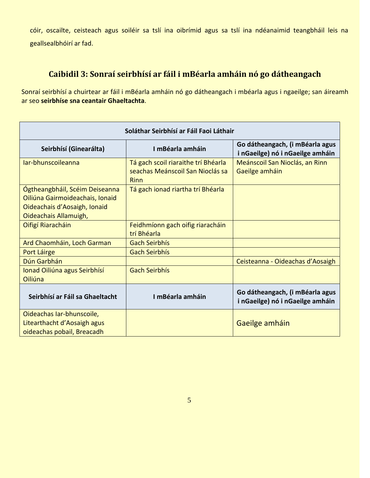cóir, oscailte, ceisteach agus soiléir sa tslí ina oibrímid agus sa tslí ina ndéanaimid teangbháil leis na geallsealbhóirí ar fad.

# <span id="page-4-0"></span>**Caibidil 3: Sonraí seirbhísí ar fáil i mBéarla amháin nó go dátheangach**

Sonraí seirbhísí a chuirtear ar fáil i mBéarla amháin nó go dátheangach i mbéarla agus i ngaeilge; san áireamh ar seo **seirbhíse sna ceantair Ghaeltachta**.

| Soláthar Seirbhísí ar Fáil Faoi Láthair                                                                                    |                                                                                 |                                                                     |  |
|----------------------------------------------------------------------------------------------------------------------------|---------------------------------------------------------------------------------|---------------------------------------------------------------------|--|
| Seirbhísí (Ginearálta)                                                                                                     | I mBéarla amháin                                                                | Go dátheangach, (i mBéarla agus<br>i nGaeilge) nó i nGaeilge amháin |  |
| lar-bhunscoileanna                                                                                                         | Tá gach scoil riaraithe trí Bhéarla<br>seachas Meánscoil San Nioclás sa<br>Rinn | Meánscoil San Nioclás, an Rinn<br>Gaeilge amháin                    |  |
| Ógtheangbháil, Scéim Deiseanna<br>Oiliúna Gairmoideachais, Ionaid<br>Oideachais d'Aosaigh, Ionaid<br>Oideachais Allamuigh, | Tá gach ionad riartha trí Bhéarla                                               |                                                                     |  |
| Oifigí Riaracháin                                                                                                          | Feidhmíonn gach oifig riaracháin<br>trí Bhéarla                                 |                                                                     |  |
| Ard Chaomháin, Loch Garman                                                                                                 | <b>Gach Seirbhís</b>                                                            |                                                                     |  |
| Port Láirge                                                                                                                | <b>Gach Seirbhís</b>                                                            |                                                                     |  |
| Dún Garbhán                                                                                                                |                                                                                 | Ceisteanna - Oideachas d'Aosaigh                                    |  |
| Ionad Oiliúna agus Seirbhísí<br>Oiliúna                                                                                    | <b>Gach Seirbhís</b>                                                            |                                                                     |  |
| Seirbhísí ar Fáil sa Ghaeltacht                                                                                            | I mBéarla amháin                                                                | Go dátheangach, (i mBéarla agus<br>i nGaeilge) nó i nGaeilge amháin |  |
| Oideachas Iar-bhunscoile,<br>Litearthacht d'Aosaigh agus<br>oideachas pobail, Breacadh                                     |                                                                                 | Gaeilge amháin                                                      |  |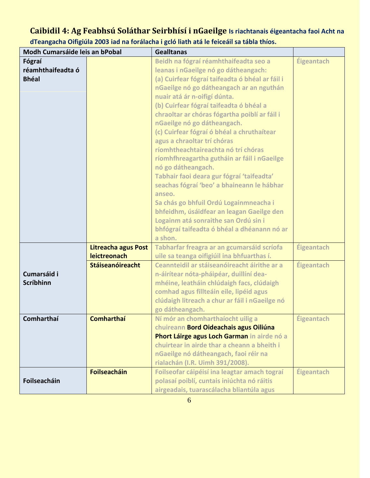# **Caibidil 4: Ag Feabhsú Soláthar Seirbhísí i nGaeilge Is riachtanais éigeantacha faoi Acht na**

| Modh Cumarsáide leis an bPobal              |                                     | <b>Gealltanas</b>                                                                                                                                                                                                                                                                                                                                                                                                                                                                                                                                                                                                                                                                                                                                                                                                              |            |
|---------------------------------------------|-------------------------------------|--------------------------------------------------------------------------------------------------------------------------------------------------------------------------------------------------------------------------------------------------------------------------------------------------------------------------------------------------------------------------------------------------------------------------------------------------------------------------------------------------------------------------------------------------------------------------------------------------------------------------------------------------------------------------------------------------------------------------------------------------------------------------------------------------------------------------------|------------|
| Fógraí<br>réamhthaifeadta ó<br><b>Bhéal</b> |                                     | Beidh na fógraí réamhthaifeadta seo a<br>leanas i nGaeilge nó go dátheangach:<br>(a) Cuirfear fógraí taifeadta ó bhéal ar fáil i<br>nGaeilge nó go dátheangach ar an nguthán<br>nuair atá ár n-oifigí dúnta.<br>(b) Cuirfear fógraí taifeadta ó bhéal a<br>chraoltar ar chóras fógartha poiblí ar fáil i<br>nGaeilge nó go dátheangach.<br>(c) Cuirfear fógraí ó bhéal a chruthaítear<br>agus a chraoltar trí chóras<br>ríomhtheachtaireachta nó trí chóras<br>ríomhfhreagartha gutháin ar fáil i nGaeilge<br>nó go dátheangach.<br>Tabhair faoi deara gur fógraí 'taifeadta'<br>seachas fógraí 'beo' a bhaineann le hábhar<br>anseo.<br>Sa chás go bhfuil Ordú Logainmneacha i<br>bhfeidhm, úsáidfear an leagan Gaeilge den<br>Logainm atá sonraithe san Ordú sin i<br>bhfógraí taifeadta ó bhéal a dhéanann nó ar<br>a shon. | Éigeantach |
|                                             | Litreacha agus Post<br>leictreonach | Tabharfar freagra ar an gcumarsáid scríofa<br>uile sa teanga oifigiúil ina bhfuarthas í.                                                                                                                                                                                                                                                                                                                                                                                                                                                                                                                                                                                                                                                                                                                                       | Éigeantach |
| Cumarsáid i<br><b>Scríbhinn</b>             | <b>Stáiseanóireacht</b>             | Ceannteidil ar stáiseanóireacht áirithe ar a<br>n-áirítear nóta-pháipéar, duillíní dea-<br>mhéine, leatháin chlúdaigh facs, clúdaigh<br>comhad agus fillteáin eile, lipéid agus<br>clúdaigh litreach a chur ar fáil i nGaeilge nó<br>go dátheangach.                                                                                                                                                                                                                                                                                                                                                                                                                                                                                                                                                                           | Éigeantach |
| Comharthaí                                  | <b>Comharthaí</b>                   | Ní mór an chomharthaíocht uilig a<br>chuireann Bord Oideachais agus Oiliúna<br>Phort Láirge agus Loch Garman in airde nó a<br>chuirtear in airde thar a cheann a bheith i<br>nGaeilge nó dátheangach, faoi réir na<br>rialachán (I.R. Uimh 391/2008).                                                                                                                                                                                                                                                                                                                                                                                                                                                                                                                                                                          | Éigeantach |
| Foilseacháin                                | <b>Foilseacháin</b>                 | Foilseofar cáipéisí ina leagtar amach tograí<br>polasaí poiblí, cuntais iniúchta nó ráitis<br>airgeadais, tuarascálacha bliantúla agus                                                                                                                                                                                                                                                                                                                                                                                                                                                                                                                                                                                                                                                                                         | Éigeantach |

**dTeangacha Oifigiúla 2003 iad na forálacha i gcló liath atá le feiceáil sa tábla thíos.**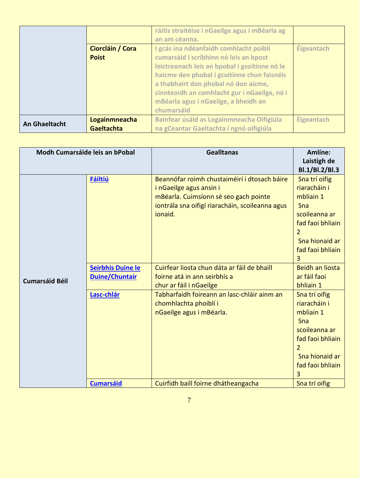|                      |                                    | ráitis straitéise i nGaeilge agus i mBéarla ag<br>an am céanna.                                                                                                                                                                                                                                                                |                   |
|----------------------|------------------------------------|--------------------------------------------------------------------------------------------------------------------------------------------------------------------------------------------------------------------------------------------------------------------------------------------------------------------------------|-------------------|
|                      | Ciorcláin / Cora<br><b>Poist</b>   | I gcás ina ndéanfaidh comhlacht poiblí<br>cumarsáid i scríbhinn nó leis an bpost<br>leictreonach leis an bpobal i gcoitinne nó le<br>haicme den phobal i gcoitinne chun faisnéis<br>a thabhairt don phobal nó don aicme,<br>cinnteoidh an comhlacht gur i nGaeilge, nó i<br>mBéarla agus i nGaeilge, a bheidh an<br>chumarsáid | Éigeantach        |
| <b>An Ghaeltacht</b> | Logainmneacha<br><b>Gaeltachta</b> | Bainfear úsáid as Logainmneacha Oifigiúla<br>na gCeantar Gaeltachta i ngnó oifigiúla                                                                                                                                                                                                                                           | <b>Éigeantach</b> |

| Modh Cumarsáide leis an bPobal |                          | <b>Gealltanas</b>                                                                                                                                                                     | Amlíne:<br>Laistigh de<br>Bl.1/Bl.2/Bl.3                                                                                                                      |
|--------------------------------|--------------------------|---------------------------------------------------------------------------------------------------------------------------------------------------------------------------------------|---------------------------------------------------------------------------------------------------------------------------------------------------------------|
|                                | <b>Fáiltiú</b>           | Beannófar roimh chustaiméirí i dtosach báire<br><i>i</i> nGaeilge agus ansin i<br>mBéarla. Cuimsíonn sé seo gach pointe<br>iontrála sna oifigí riaracháin, scoileanna agus<br>ionaid. | Sna trí oifig<br>riaracháin i<br>mbliain 1<br>Sna<br>scoileanna ar<br>fad faoi bhliain<br>$\overline{\phantom{a}}$<br>Sna hionaid ar<br>fad faoi bhliain<br>3 |
|                                | <b>Seirbhís Duine le</b> | Cuirfear liosta chun dáta ar fáil de bhaill                                                                                                                                           | <b>Beidh an liosta</b>                                                                                                                                        |
| <b>Cumarsáid Béil</b>          | <b>Duine/Chuntair</b>    | foirne atá in ann seirbhís a<br>chur ar fáil i nGaeilge                                                                                                                               | ar fáil faoi<br>bhliain 1                                                                                                                                     |
|                                | Lasc-chlár               | Tabharfaidh foireann an lasc-chláir ainm an<br>chomhlachta phoiblí i<br>nGaeilge agus i mBéarla.                                                                                      | Sna trí oifig<br>riaracháin i<br>mbliain 1<br>Sna<br>scoileanna ar<br>fad faoi bhliain<br>$\mathcal{P}$<br>Sna hionaid ar<br>fad faoi bhliain<br>3            |
|                                | <b>Cumarsáid</b>         | Cuirfidh baill foirne dhátheangacha                                                                                                                                                   | Sna trí oifig                                                                                                                                                 |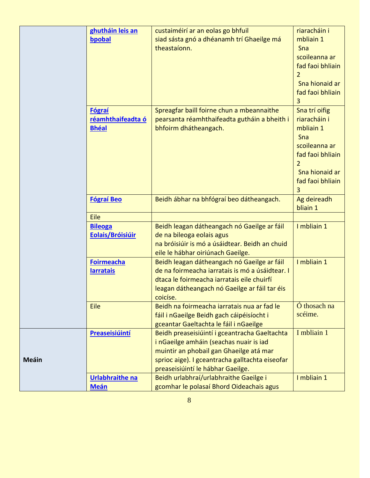|              | ghutháin leis an       | custaiméirí ar an eolas go bhfuil               | riaracháin i     |
|--------------|------------------------|-------------------------------------------------|------------------|
|              | bpobal                 | siad sásta gnó a dhéanamh trí Ghaeilge má       | mbliain 1        |
|              |                        | theastaíonn.                                    | Sna              |
|              |                        |                                                 | scoileanna ar    |
|              |                        |                                                 | fad faoi bhliain |
|              |                        |                                                 | $\overline{2}$   |
|              |                        |                                                 | Sna hionaid ar   |
|              |                        |                                                 | fad faoi bhliain |
|              |                        |                                                 | 3                |
|              | Fógraí                 | Spreagfar baill foirne chun a mbeannaithe       | Sna trí oifig    |
|              |                        |                                                 | riaracháin i     |
|              | réamhthaifeadta ó      | pearsanta réamhthaifeadta gutháin a bheith i    |                  |
|              | <b>Bhéal</b>           | bhfoirm dhátheangach.                           | mbliain 1        |
|              |                        |                                                 | Sna              |
|              |                        |                                                 | scoileanna ar    |
|              |                        |                                                 | fad faoi bhliain |
|              |                        |                                                 | 2                |
|              |                        |                                                 | Sna hionaid ar   |
|              |                        |                                                 | fad faoi bhliain |
|              |                        |                                                 | 3                |
|              | <b>Fógraí Beo</b>      | Beidh ábhar na bhfógraí beo dátheangach.        | Ag deireadh      |
|              |                        |                                                 | bliain 1         |
|              | Eile                   |                                                 |                  |
|              | <b>Bileoga</b>         | Beidh leagan dátheangach nó Gaeilge ar fáil     | I mbliain 1      |
|              | Eolais/Bróisiúir       | de na bileoga eolais agus                       |                  |
|              |                        | na bróisiúir is mó a úsáidtear. Beidh an chuid  |                  |
|              |                        | eile le hábhar oiriúnach Gaeilge.               |                  |
|              | <b>Foirmeacha</b>      | Beidh leagan dátheangach nó Gaeilge ar fáil     | I mbliain 1      |
|              | <b>larratais</b>       | de na foirmeacha iarratais is mó a úsáidtear. I |                  |
|              |                        | dtaca le foirmeacha iarratais eile chuirfí      |                  |
|              |                        | leagan dátheangach nó Gaeilge ar fáil tar éis   |                  |
|              |                        | coicíse.                                        |                  |
|              | Eile                   | Beidh na foirmeacha iarratais nua ar fad le     | Ó thosach na     |
|              |                        | fáil i nGaeilge Beidh gach cáipéisíocht i       | scéime.          |
|              |                        | gceantar Gaeltachta le fáil i nGaeilge          |                  |
|              | Preaseisiúintí         | Beidh preaseisiúintí i gceantracha Gaeltachta   | I mbliain 1      |
|              |                        | i nGaeilge amháin (seachas nuair is iad         |                  |
|              |                        | muintir an phobail gan Ghaeilge atá mar         |                  |
| <b>Meáin</b> |                        | sprioc aige). I gceantracha galltachta eiseofar |                  |
|              |                        | preaseisiúintí le hábhar Gaeilge.               |                  |
|              | <b>Urlabhraithe na</b> | Beidh urlabhraí/urlabhraithe Gaeilge i          | I mbliain 1      |
|              | <b>Meán</b>            | gcomhar le polasaí Bhord Oideachais agus        |                  |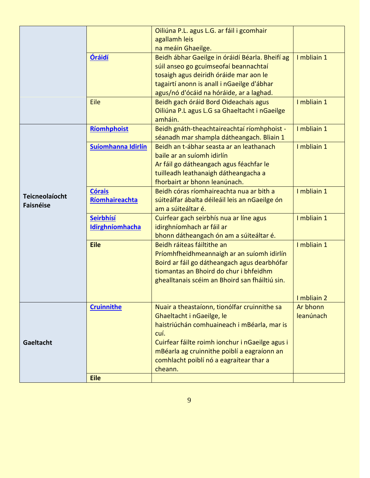|                       |                    | Oiliúna P.L. agus L.G. ar fáil i gcomhair                                                  |             |
|-----------------------|--------------------|--------------------------------------------------------------------------------------------|-------------|
|                       |                    | agallamh leis                                                                              |             |
|                       |                    | na meáin Ghaeilge.                                                                         |             |
|                       | <b>Óráidí</b>      | Beidh ábhar Gaeilge in óráidí Béarla. Bheifí ag                                            | I mbliain 1 |
|                       |                    | súil anseo go gcuimseofaí beannachtaí                                                      |             |
|                       |                    | tosaigh agus deiridh óráide mar aon le                                                     |             |
|                       |                    | tagairtí anonn is anall i nGaeilge d'ábhar                                                 |             |
|                       |                    | agus/nó d'ócáid na hóráide, ar a laghad.                                                   |             |
|                       | Eile               | Beidh gach óráid Bord Oideachais agus                                                      | I mbliain 1 |
|                       |                    | Oiliúna P.L agus L.G sa Ghaeltacht i nGaeilge                                              |             |
|                       |                    | amháin.                                                                                    |             |
|                       | <b>Ríomhphoist</b> | Beidh gnáth-theachtaireachtaí ríomhphoist -                                                | I mbliain 1 |
|                       |                    | séanadh mar shampla dátheangach. Bliain 1                                                  |             |
|                       | Suíomhanna Idirlín | Beidh an t-ábhar seasta ar an leathanach                                                   | I mbliain 1 |
|                       |                    | baile ar an suíomh idirlín                                                                 |             |
|                       |                    | Ar fáil go dátheangach agus féachfar le                                                    |             |
|                       |                    | tuilleadh leathanaigh dátheangacha a                                                       |             |
|                       |                    | fhorbairt ar bhonn leanúnach.                                                              |             |
| <b>Teicneolaíocht</b> | <b>Córais</b>      | Beidh córas ríomhaireachta nua ar bith a                                                   | I mbliain 1 |
| <b>Faisnéise</b>      | Ríomhaireachta     | súiteálfar ábalta déileáil leis an nGaeilge ón                                             |             |
|                       |                    | am a súiteáltar é.                                                                         |             |
|                       | <b>Seirbhísí</b>   | Cuirfear gach seirbhís nua ar líne agus                                                    | I mbliain 1 |
|                       | Idirghníomhacha    | idirghníomhach ar fáil ar                                                                  |             |
|                       | <b>Eile</b>        | bhonn dátheangach ón am a súiteáltar é.<br>Beidh ráiteas fáiltithe an                      | I mbliain 1 |
|                       |                    |                                                                                            |             |
|                       |                    | Príomhfheidhmeannaigh ar an suíomh idirlín<br>Boird ar fáil go dátheangach agus dearbhófar |             |
|                       |                    | tiomantas an Bhoird do chur i bhfeidhm                                                     |             |
|                       |                    | ghealltanais scéim an Bhoird san fháiltiú sin.                                             |             |
|                       |                    |                                                                                            |             |
|                       |                    |                                                                                            | I mbliain 2 |
|                       | <b>Cruinnithe</b>  | Nuair a theastaíonn, tionólfar cruinnithe sa                                               | Ar bhonn    |
|                       |                    | Ghaeltacht i nGaeilge, le                                                                  | leanúnach   |
|                       |                    | haistriúchán comhuaineach i mBéarla, mar is                                                |             |
|                       |                    | cuí.                                                                                       |             |
| Gaeltacht             |                    | Cuirfear fáilte roimh ionchur i nGaeilge agus i                                            |             |
|                       |                    | mBéarla ag cruinnithe poiblí a eagraíonn an                                                |             |
|                       |                    | comhlacht poiblí nó a eagraítear thar a                                                    |             |
|                       |                    | cheann.                                                                                    |             |
|                       | <b>Eile</b>        |                                                                                            |             |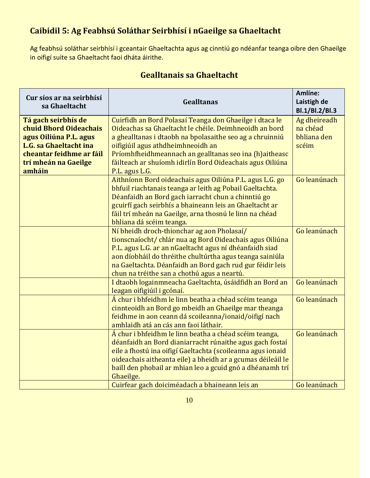# **Caibidil 5: Ag Feabhsú Soláthar Seirbhísí i nGaeilge sa Ghaeltacht**

Ag feabhsú soláthar seirbhísí i gceantair Ghaeltachta agus ag cinntiú go ndéanfar teanga oibre den Ghaeilge in oifigí suite sa Ghaeltacht faoi dháta áirithe.

| Cur síos ar na seirbhísí<br>sa Ghaeltacht                                                                                                                       | <b>Gealltanas</b>                                                                                                                                                                                                                                                                                                                                           | Amlíne:<br>Laistigh de<br>Bl.1/Bl.2/Bl.3         |
|-----------------------------------------------------------------------------------------------------------------------------------------------------------------|-------------------------------------------------------------------------------------------------------------------------------------------------------------------------------------------------------------------------------------------------------------------------------------------------------------------------------------------------------------|--------------------------------------------------|
| Tá gach seirbhís de<br>chuid Bhord Oideachais<br>agus Oiliúna P.L. agus<br>L.G. sa Ghaeltacht ina<br>cheantar feidhme ar fáil<br>trí mheán na Gaeilge<br>amháin | Cuirfidh an Bord Polasaí Teanga don Ghaeilge i dtaca le<br>Oideachas sa Ghaeltacht le chéile. Deimhneoidh an bord<br>a ghealltanas i dtaobh na bpolasaithe seo ag a chruinniú<br>oifigiúil agus athdheimhneoidh an<br>Príomhfheidhmeannach an gealltanas seo ina (h)aitheasc<br>fáilteach ar shuíomh idirlín Bord Oideachais agus Oiliúna<br>P.L. agus L.G. | Ag dheireadh<br>na chéad<br>bhliana den<br>scéim |
|                                                                                                                                                                 | Aithníonn Bord oideachais agus Oiliúna P.L. agus L.G. go<br>bhfuil riachtanais teanga ar leith ag Pobail Gaeltachta.<br>Déanfaidh an Bord gach iarracht chun a chinntiú go<br>gcuirfí gach seirbhís a bhaineann leis an Ghaeltacht ar<br>fáil trí mheán na Gaeilge, arna thosnú le linn na chéad<br>bhliana dá scéim teanga.                                | Go leanúnach                                     |
|                                                                                                                                                                 | Ní bheidh droch-thionchar ag aon Pholasaí/<br>tionscnaíocht/ chlár nua ag Bord Oideachais agus Oiliúna<br>P.L. agus L.G. ar an nGaeltacht agus ní dhéanfaidh siad<br>aon díobháil do thréithe chultúrtha agus teanga sainiúla<br>na Gaeltachta. Déanfaidh an Bord gach rud gur féidir leis<br>chun na tréithe san a chothú agus a neartú.                   | Go leanúnach                                     |
|                                                                                                                                                                 | I dtaobh logainmneacha Gaeltachta, úsáidfidh an Bord an<br>leagan oifigiúil i gcónaí.                                                                                                                                                                                                                                                                       | Go leanúnach                                     |
|                                                                                                                                                                 | Á chur i bhfeidhm le linn beatha a chéad scéim teanga<br>cinnteoidh an Bord go mbeidh an Ghaeilge mar theanga<br>feidhme in aon ceann dá scoileanna/ionaid/oifigí nach<br>amhlaidh atá an cás ann faoi láthair.                                                                                                                                             | Go leanúnach                                     |
|                                                                                                                                                                 | Á chur i bhfeidhm le linn beatha a chéad scéim teanga,<br>déanfaidh an Bord dianiarracht rúnaithe agus gach fostaí<br>eile a fhostú ina oifigí Gaeltachta (scoileanna agus ionaid<br>oideachais aitheanta eile) a bheidh ar a gcumas déileáil le<br>baill den phobail ar mhian leo a gcuid gnó a dhéanamh trí<br>Ghaeilge.                                  | Go leanúnach<br>Go leanúnach                     |
|                                                                                                                                                                 | Cuirfear gach doiciméadach a bhaineann leis an                                                                                                                                                                                                                                                                                                              |                                                  |

## **Gealltanais sa Ghaeltacht**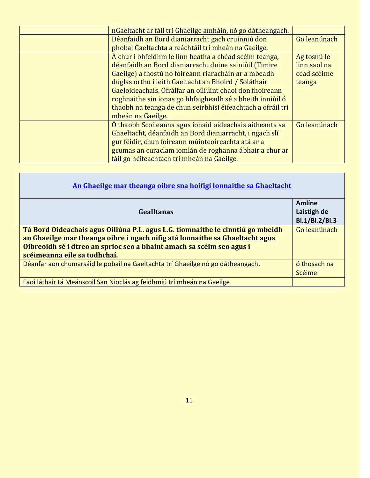| nGaeltacht ar fáil trí Ghaeilge amháin, nó go dátheangach.  |              |
|-------------------------------------------------------------|--------------|
| Déanfaidh an Bord dianiarracht gach cruinniú don            | Go leanúnach |
| phobal Gaeltachta a reáchtáil trí mheán na Gaeilge.         |              |
| Á chur i bhfeidhm le linn beatha a chéad scéim teanga,      | Ag tosnú le  |
| déanfaidh an Bord dianiarracht duine sainiúil (Timire       | linn saol na |
| Gaeilge) a fhostú nó foireann riaracháin ar a mbeadh        | céad scéime  |
| dúglas orthu i leith Gaeltacht an Bhoird / Soláthair        | teanga       |
| Gaeloideachais. Ofrálfar an oiliúint chaoi don fhoireann    |              |
| roghnaithe sin ionas go bhfaigheadh sé a bheith inniúil ó   |              |
| thaobh na teanga de chun seirbhísí éifeachtach a ofráil trí |              |
| mheán na Gaeilge.                                           |              |
| O thaobh Scoileanna agus ionaid oideachais aitheanta sa     | Go leanúnach |
| Ghaeltacht, déanfaidh an Bord dianiarracht, i ngach slí     |              |
| gur féidir, chun foireann múinteoireachta atá ar a          |              |
| gcumas an curaclam iomlán de roghanna ábhair a chur ar      |              |
| fáil go héifeachtach trí mheán na Gaeilge.                  |              |

| An Ghaeilge mar theanga oibre sna hoifigí lonnaithe sa Ghaeltacht              |                |
|--------------------------------------------------------------------------------|----------------|
|                                                                                | <b>Amlíne</b>  |
| <b>Gealltanas</b>                                                              | Laistigh de    |
|                                                                                | Bl.1/Bl.2/Bl.3 |
| Tá Bord Oideachais agus Oiliúna P.L. agus L.G. tiomnaithe le cinntiú go mbeidh | Go leanúnach   |
| an Ghaeilge mar theanga oibre i ngach oifig atá lonnaithe sa Ghaeltacht agus   |                |
| Oibreoidh sé i dtreo an sprioc seo a bhaint amach sa scéim seo agus i          |                |
| scéimeanna eile sa todhchaí.                                                   |                |
| Déanfar aon chumarsáid le pobail na Gaeltachta trí Ghaeilge nó go dátheangach. | ó thosach na   |
|                                                                                | Scéime         |
| Faoi láthair tá Meánscoil San Nioclás ag feidhmiú trí mheán na Gaeilge.        |                |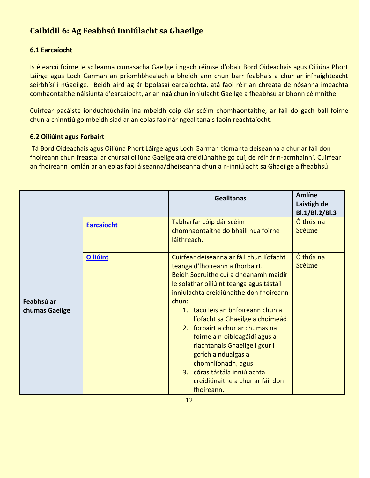## **Caibidil 6: Ag Feabhsú Inniúlacht sa Ghaeilge**

## <span id="page-11-0"></span>**6.1 Earcaíocht**

Is é earcú foirne le scileanna cumasacha Gaeilge i ngach réimse d'obair Bord Oideachais agus Oiliúna Phort Láirge agus Loch Garman an príomhbhealach a bheidh ann chun barr feabhais a chur ar infhaighteacht seirbhísí i nGaeilge. Beidh aird ag ár bpolasaí earcaíochta, atá faoi réir an chreata de nósanna imeachta comhaontaithe náisiúnta d'earcaíocht, ar an ngá chun inniúlacht Gaeilge a fheabhsú ar bhonn céimnithe.

Cuirfear pacáiste ionduchtúcháin ina mbeidh cóip dár scéim chomhaontaithe, ar fáil do gach ball foirne chun a chinntiú go mbeidh siad ar an eolas faoinár ngealltanais faoin reachtaíocht.

### **6.2 Oiliúint agus Forbairt**

Tá Bord Oideachais agus Oiliúna Phort Láirge agus Loch Garman tiomanta deiseanna a chur ar fáil don fhoireann chun freastal ar chúrsaí oiliúna Gaeilge atá creidiúnaithe go cuí, de réir ár n-acmhainní. Cuirfear an fhoireann iomlán ar an eolas faoi áiseanna/dheiseanna chun a n-inniúlacht sa Ghaeilge a fheabhsú.

|                              |                   | <b>Gealltanas</b>                                                                                                                                                                                                                                                                                                                                                                                                                                                                                                                 | <b>Amlíne</b><br>Laistigh de<br>Bl.1/Bl.2/Bl.3 |
|------------------------------|-------------------|-----------------------------------------------------------------------------------------------------------------------------------------------------------------------------------------------------------------------------------------------------------------------------------------------------------------------------------------------------------------------------------------------------------------------------------------------------------------------------------------------------------------------------------|------------------------------------------------|
|                              | <b>Earcaíocht</b> | Tabharfar cóip dár scéim<br>chomhaontaithe do bhaill nua foirne<br>láithreach.                                                                                                                                                                                                                                                                                                                                                                                                                                                    | Ó thús na<br>Scéime                            |
| Feabhsú ar<br>chumas Gaeilge | <b>Oiliúint</b>   | Cuirfear deiseanna ar fáil chun líofacht<br>teanga d'fhoireann a fhorbairt.<br>Beidh Socruithe cuí a dhéanamh maidir<br>le soláthar oiliúint teanga agus tástáil<br>inniúlachta creidiúnaithe don fhoireann<br>chun:<br>1. tacú leis an bhfoireann chun a<br>líofacht sa Ghaeilge a choimeád.<br>2. forbairt a chur ar chumas na<br>foirne a n-oibleagáidí agus a<br>riachtanais Ghaeilge i gcur i<br>gcrích a ndualgas a<br>chomhlíonadh, agus<br>3. córas tástála inniúlachta<br>creidiúnaithe a chur ar fáil don<br>fhoireann. | Ó thús na<br>Scéime                            |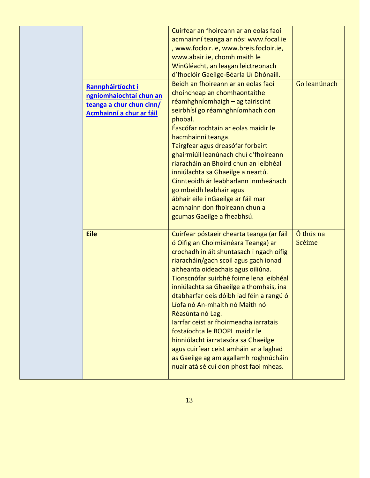| Rannpháirtíocht i<br>ngníomhaíochtaí chun an<br>teanga a chur chun cinn/<br>Acmhainní a chur ar fáil | Cuirfear an fhoireann ar an eolas faoi<br>acmhainní teanga ar nós: www.focal.ie<br>, www.focloir.ie, www.breis.focloir.ie,<br>www.abair.ie, chomh maith le<br>WinGléacht, an leagan leictreonach<br>d'fhoclóir Gaeilge-Béarla Uí Dhónaill.<br>Beidh an fhoireann ar an eolas faoi<br>choincheap an chomhaontaithe<br>réamhghníomhaigh – ag tairiscint<br>seirbhísí go réamhghníomhach don<br>phobal.<br>Éascófar rochtain ar eolas maidir le<br>hacmhainní teanga.<br>Tairgfear agus dreasófar forbairt<br>ghairmiúil leanúnach chuí d'fhoireann<br>riaracháin an Bhoird chun an leibhéal<br>inniúlachta sa Ghaeilge a neartú.<br>Cinnteoidh ár leabharlann inmheánach<br>go mbeidh leabhair agus<br>ábhair eile i nGaeilge ar fáil mar<br>acmhainn don fhoireann chun a<br>gcumas Gaeilge a fheabhsú. | Go leanúnach        |
|------------------------------------------------------------------------------------------------------|--------------------------------------------------------------------------------------------------------------------------------------------------------------------------------------------------------------------------------------------------------------------------------------------------------------------------------------------------------------------------------------------------------------------------------------------------------------------------------------------------------------------------------------------------------------------------------------------------------------------------------------------------------------------------------------------------------------------------------------------------------------------------------------------------------|---------------------|
| <b>Eile</b>                                                                                          | Cuirfear póstaeir chearta teanga (ar fáil<br>ó Oifig an Choimisinéara Teanga) ar<br>crochadh in áit shuntasach i ngach oifig<br>riaracháin/gach scoil agus gach ionad<br>aitheanta oideachais agus oiliúna.<br>Tionscnófar suirbhé foirne lena leibhéal<br>inniúlachta sa Ghaeilge a thomhais, ina<br>dtabharfar deis dóibh iad féin a rangú ó<br>Líofa nó An-mhaith nó Maith nó<br>Réasúnta nó Lag.<br>larrfar ceist ar fhoirmeacha iarratais<br>fostaíochta le BOOPL maidir le<br>hinniúlacht iarratasóra sa Ghaeilge<br>agus cuirfear ceist amháin ar a laghad<br>as Gaeilge ag am agallamh roghnúcháin<br>nuair atá sé cuí don phost faoi mheas.                                                                                                                                                   | Ó thús na<br>Scéime |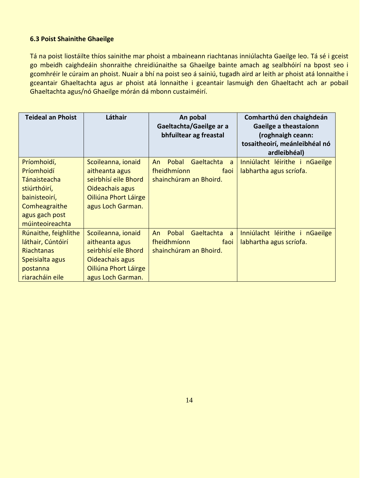### **6.3 Poist Shainithe Ghaeilge**

Tá na poist liostáilte thíos sainithe mar phoist a mbaineann riachtanas inniúlachta Gaeilge leo. Tá sé i gceist go mbeidh caighdeáin shonraithe chreidiúnaithe sa Ghaeilge bainte amach ag sealbhóirí na bpost seo i gcomhréir le cúraim an phoist. Nuair a bhí na poist seo á sainiú, tugadh aird ar leith ar phoist atá lonnaithe i gceantair Ghaeltachta agus ar phoist atá lonnaithe i gceantair lasmuigh den Ghaeltacht ach ar pobail Ghaeltachta agus/nó Ghaeilge mórán dá mbonn custaiméirí.

| <b>Teideal an Phoist</b> | Láthair              | An pobal<br>Gaeltachta/Gaeilge ar a<br>bhfuiltear ag freastal | Comharthú den chaighdeán<br>Gaeilge a theastaíonn<br>(roghnaigh ceann:<br>tosaitheoirí, meánleibhéal nó<br>ardleibhéal) |
|--------------------------|----------------------|---------------------------------------------------------------|-------------------------------------------------------------------------------------------------------------------------|
| Príomhoidí,              | Scoileanna, ionaid   | Pobal<br>Gaeltachta<br>An<br>a                                | Inniúlacht léirithe i nGaeilge                                                                                          |
| Príomhoidí               | aitheanta agus       | fheidhmíonn<br>faoi                                           | labhartha agus scríofa.                                                                                                 |
| <b>Tánaisteacha</b>      | seirbhísí eile Bhord | shainchúram an Bhoird.                                        |                                                                                                                         |
| stiúrthóirí,             | Oideachais agus      |                                                               |                                                                                                                         |
| bainisteoirí,            | Oiliúna Phort Láirge |                                                               |                                                                                                                         |
| Comheagraithe            | agus Loch Garman.    |                                                               |                                                                                                                         |
| agus gach post           |                      |                                                               |                                                                                                                         |
| múinteoireachta          |                      |                                                               |                                                                                                                         |
| Rúnaithe, feighlithe     | Scoileanna, ionaid   | Pobal<br>Gaeltachta<br>An.<br>a                               | Inniúlacht léirithe i nGaeilge                                                                                          |
| láthair, Cúntóirí        | aitheanta agus       | fheidhmíonn<br>faoi                                           | labhartha agus scríofa.                                                                                                 |
| <b>Riachtanas</b>        | seirbhísí eile Bhord | shainchúram an Bhoird.                                        |                                                                                                                         |
| Speisialta agus          | Oideachais agus      |                                                               |                                                                                                                         |
| postanna                 | Oiliúna Phort Láirge |                                                               |                                                                                                                         |
| riaracháin eile          | agus Loch Garman.    |                                                               |                                                                                                                         |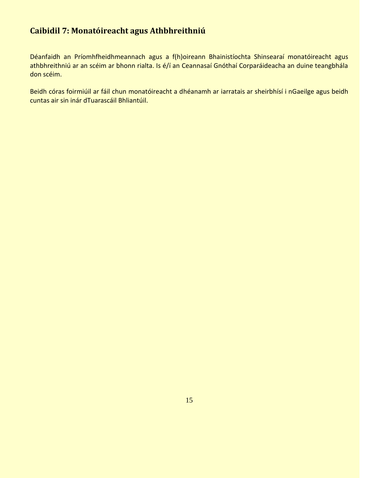## **Caibidil 7: Monatóireacht agus Athbhreithniú**

Déanfaidh an Príomhfheidhmeannach agus a f(h)oireann Bhainistíochta Shinsearaí monatóireacht agus athbhreithniú ar an scéim ar bhonn rialta. Is é/í an Ceannasaí Gnóthaí Corparáideacha an duine teangbhála don scéim.

Beidh córas foirmiúil ar fáil chun monatóireacht a dhéanamh ar iarratais ar sheirbhísí i nGaeilge agus beidh cuntas air sin inár dTuarascáil Bhliantúil.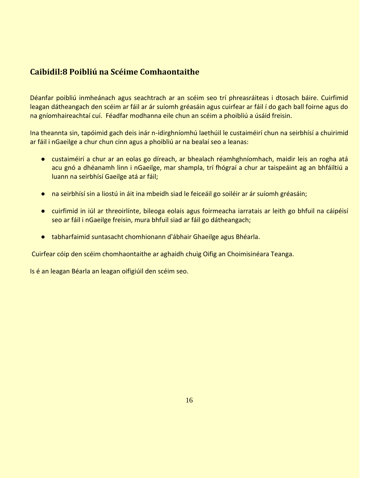## **Caibidil:8 Poibliú na Scéime Comhaontaithe**

Déanfar poibliú inmheánach agus seachtrach ar an scéim seo trí phreasráiteas i dtosach báire. Cuirfimid leagan dátheangach den scéim ar fáil ar ár suíomh gréasáin agus cuirfear ar fáil í do gach ball foirne agus do na gníomhaireachtaí cuí. Féadfar modhanna eile chun an scéim a phoibliú a úsáid freisin.

Ina theannta sin, tapóimid gach deis inár n-idirghníomhú laethúil le custaiméirí chun na seirbhísí a chuirimid ar fáil i nGaeilge a chur chun cinn agus a phoibliú ar na bealaí seo a leanas:

- custaiméirí a chur ar an eolas go díreach, ar bhealach réamhghníomhach, maidir leis an rogha atá acu gnó a dhéanamh linn i nGaeilge, mar shampla, trí fhógraí a chur ar taispeáint ag an bhfáiltiú a luann na seirbhísí Gaeilge atá ar fáil;
- na seirbhísí sin a liostú in áit ina mbeidh siad le feiceáil go soiléir ar ár suíomh gréasáin;
- cuirfimid in iúl ar threoirlínte, bileoga eolais agus foirmeacha iarratais ar leith go bhfuil na cáipéisí seo ar fáil i nGaeilge freisin, mura bhfuil siad ar fáil go dátheangach;
- tabharfaimid suntasacht chomhionann d'ábhair Ghaeilge agus Bhéarla.

Cuirfear cóip den scéim chomhaontaithe ar aghaidh chuig Oifig an Choimisinéara Teanga.

Is é an leagan Béarla an leagan oifigiúil den scéim seo.